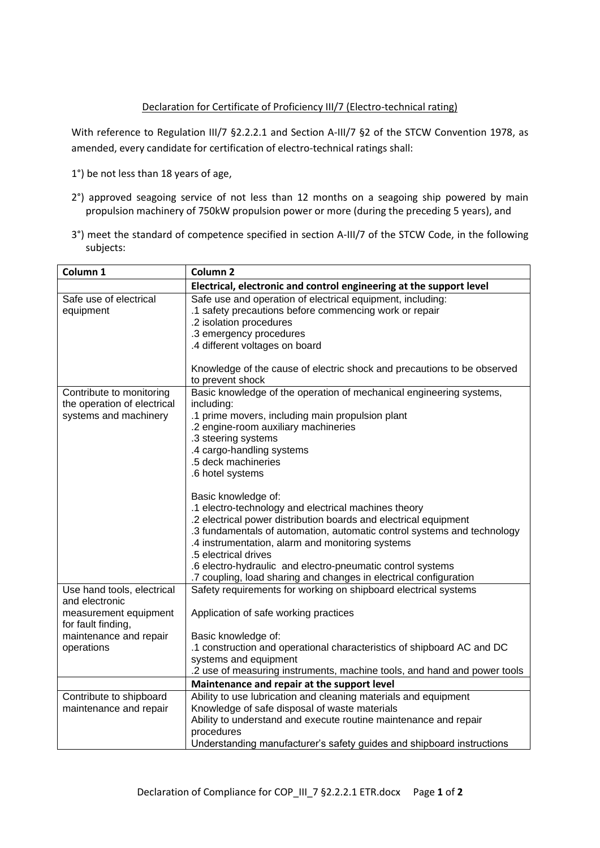## Declaration for Certificate of Proficiency III/7 (Electro-technical rating)

With reference to Regulation III/7 §2.2.2.1 and Section A-III/7 §2 of the STCW Convention 1978, as amended, every candidate for certification of electro-technical ratings shall:

- 1°) be not less than 18 years of age,
- 2°) approved seagoing service of not less than 12 months on a seagoing ship powered by main propulsion machinery of 750kW propulsion power or more (during the preceding 5 years), and
- 3°) meet the standard of competence specified in section A-III/7 of the STCW Code, in the following subjects:

| Column 1                                                | Column <sub>2</sub>                                                                                                                             |
|---------------------------------------------------------|-------------------------------------------------------------------------------------------------------------------------------------------------|
|                                                         | Electrical, electronic and control engineering at the support level                                                                             |
| Safe use of electrical<br>equipment                     | Safe use and operation of electrical equipment, including:<br>.1 safety precautions before commencing work or repair<br>.2 isolation procedures |
|                                                         | .3 emergency procedures<br>.4 different voltages on board                                                                                       |
|                                                         | Knowledge of the cause of electric shock and precautions to be observed<br>to prevent shock                                                     |
| Contribute to monitoring<br>the operation of electrical | Basic knowledge of the operation of mechanical engineering systems,<br>including:                                                               |
| systems and machinery                                   | .1 prime movers, including main propulsion plant<br>.2 engine-room auxiliary machineries                                                        |
|                                                         | .3 steering systems                                                                                                                             |
|                                                         | .4 cargo-handling systems<br>.5 deck machineries                                                                                                |
|                                                         | .6 hotel systems                                                                                                                                |
|                                                         | Basic knowledge of:<br>.1 electro-technology and electrical machines theory                                                                     |
|                                                         | .2 electrical power distribution boards and electrical equipment                                                                                |
|                                                         | .3 fundamentals of automation, automatic control systems and technology<br>.4 instrumentation, alarm and monitoring systems                     |
|                                                         | .5 electrical drives<br>.6 electro-hydraulic and electro-pneumatic control systems                                                              |
|                                                         | .7 coupling, load sharing and changes in electrical configuration                                                                               |
| Use hand tools, electrical<br>and electronic            | Safety requirements for working on shipboard electrical systems                                                                                 |
| measurement equipment<br>for fault finding,             | Application of safe working practices                                                                                                           |
| maintenance and repair                                  | Basic knowledge of:                                                                                                                             |
| operations                                              | .1 construction and operational characteristics of shipboard AC and DC<br>systems and equipment                                                 |
|                                                         | .2 use of measuring instruments, machine tools, and hand and power tools                                                                        |
|                                                         | Maintenance and repair at the support level                                                                                                     |
| Contribute to shipboard                                 | Ability to use lubrication and cleaning materials and equipment                                                                                 |
| maintenance and repair                                  | Knowledge of safe disposal of waste materials                                                                                                   |
|                                                         | Ability to understand and execute routine maintenance and repair                                                                                |
|                                                         | procedures<br>Understanding manufacturer's safety guides and shipboard instructions                                                             |